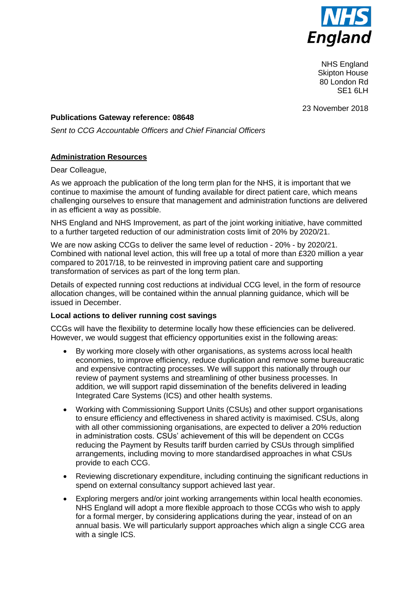

NHS England Skipton House 80 London Rd SE<sub>1</sub> 6LH

23 November 2018

## **Publications Gateway reference: 08648**

*Sent to CCG Accountable Officers and Chief Financial Officers*

# **Administration Resources**

### Dear Colleague,

As we approach the publication of the long term plan for the NHS, it is important that we continue to maximise the amount of funding available for direct patient care, which means challenging ourselves to ensure that management and administration functions are delivered in as efficient a way as possible.

NHS England and NHS Improvement, as part of the joint working initiative, have committed to a further targeted reduction of our administration costs limit of 20% by 2020/21.

We are now asking CCGs to deliver the same level of reduction - 20% - by 2020/21. Combined with national level action, this will free up a total of more than £320 million a year compared to 2017/18, to be reinvested in improving patient care and supporting transformation of services as part of the long term plan.

Details of expected running cost reductions at individual CCG level, in the form of resource allocation changes, will be contained within the annual planning guidance, which will be issued in December.

## **Local actions to deliver running cost savings**

CCGs will have the flexibility to determine locally how these efficiencies can be delivered. However, we would suggest that efficiency opportunities exist in the following areas:

- By working more closely with other organisations, as systems across local health economies, to improve efficiency, reduce duplication and remove some bureaucratic and expensive contracting processes. We will support this nationally through our review of payment systems and streamlining of other business processes. In addition, we will support rapid dissemination of the benefits delivered in leading Integrated Care Systems (ICS) and other health systems.
- Working with Commissioning Support Units (CSUs) and other support organisations to ensure efficiency and effectiveness in shared activity is maximised. CSUs, along with all other commissioning organisations, are expected to deliver a 20% reduction in administration costs. CSUs' achievement of this will be dependent on CCGs reducing the Payment by Results tariff burden carried by CSUs through simplified arrangements, including moving to more standardised approaches in what CSUs provide to each CCG.
- Reviewing discretionary expenditure, including continuing the significant reductions in spend on external consultancy support achieved last year.
- Exploring mergers and/or joint working arrangements within local health economies. NHS England will adopt a more flexible approach to those CCGs who wish to apply for a formal merger, by considering applications during the year, instead of on an annual basis. We will particularly support approaches which align a single CCG area with a single ICS.